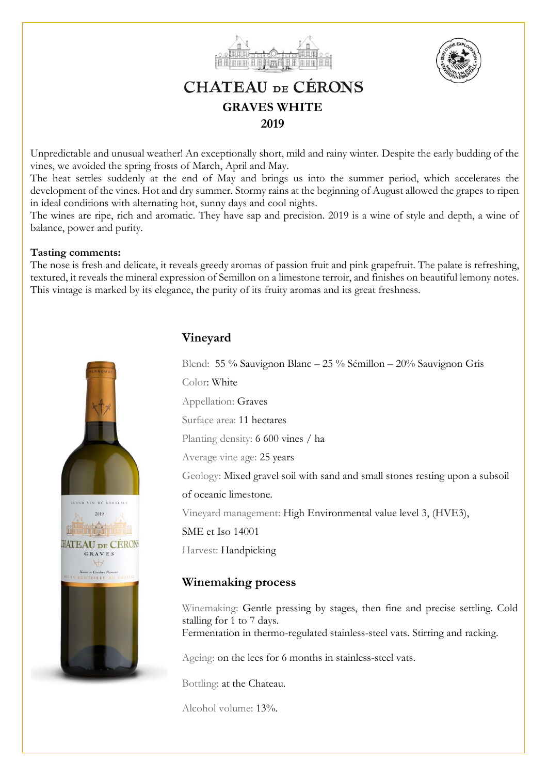



## **CHATEAU DE CÉRONS GRAVES WHITE 2019**

Unpredictable and unusual weather! An exceptionally short, mild and rainy winter. Despite the early budding of the vines, we avoided the spring frosts of March, April and May.

The heat settles suddenly at the end of May and brings us into the summer period, which accelerates the development of the vines. Hot and dry summer. Stormy rains at the beginning of August allowed the grapes to ripen in ideal conditions with alternating hot, sunny days and cool nights.

The wines are ripe, rich and aromatic. They have sap and precision. 2019 is a wine of style and depth, a wine of balance, power and purity.

#### **Tasting comments:**

The nose is fresh and delicate, it reveals greedy aromas of passion fruit and pink grapefruit. The palate is refreshing, textured, it reveals the mineral expression of Semillon on a limestone terroir, and finishes on beautiful lemony notes. This vintage is marked by its elegance, the purity of its fruity aromas and its great freshness.



## **Vineyard**

Blend: 55 % Sauvignon Blanc – 25 % Sémillon – 20% Sauvignon Gris

Color: White

Appellation: Graves

Surface area: 11 hectares

Planting density: 6 600 vines / ha

Average vine age: 25 years

Geology: Mixed gravel soil with sand and small stones resting upon a subsoil

of oceanic limestone.

Vineyard management: High Environmental value level 3, (HVE3),

SME et Iso 14001

Harvest: Handpicking

### **Winemaking process**

Winemaking: Gentle pressing by stages, then fine and precise settling. Cold stalling for 1 to 7 days. Fermentation in thermo-regulated stainless-steel vats. Stirring and racking.

Ageing: on the lees for 6 months in stainless-steel vats.

Bottling: at the Chateau.

Alcohol volume: 13%.